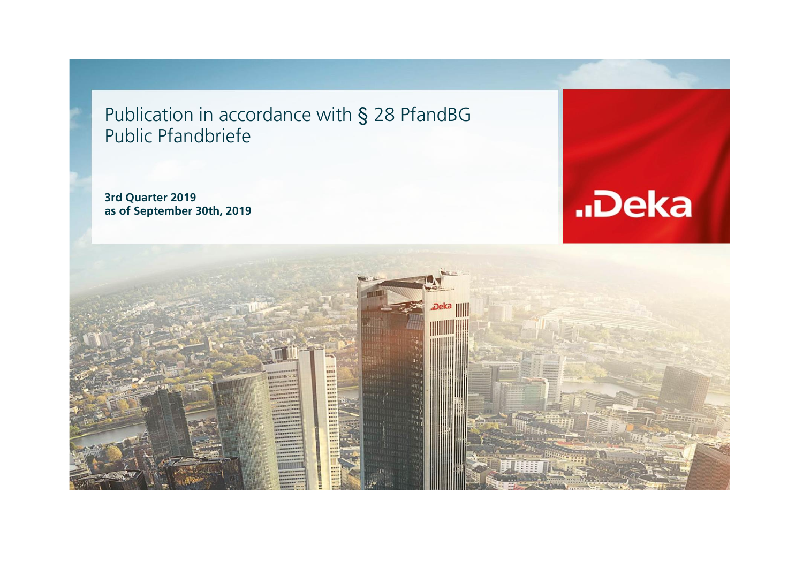Publication in accordance with § 28 PfandBG Public Pfandbriefe

**3rd Quarter 2019 as of September 30th, 2019**



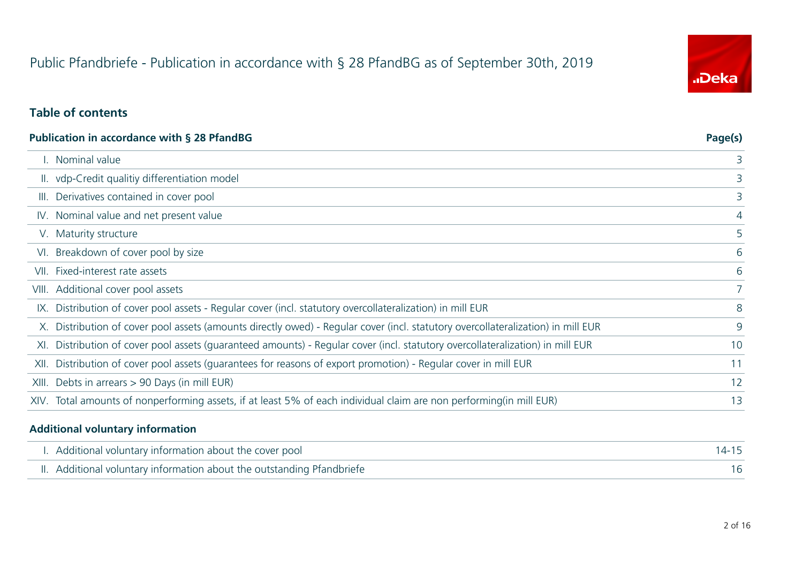# Public Pfandbriefe - Publication in accordance with § 28 PfandBG as of September 30th, 2019

# "Deka

#### **Table of contents**

|                                                                                                                               | Page(s)                                                                                                                                                                                                                                                                                                                               |
|-------------------------------------------------------------------------------------------------------------------------------|---------------------------------------------------------------------------------------------------------------------------------------------------------------------------------------------------------------------------------------------------------------------------------------------------------------------------------------|
| Nominal value                                                                                                                 | 3                                                                                                                                                                                                                                                                                                                                     |
|                                                                                                                               | 3                                                                                                                                                                                                                                                                                                                                     |
| Derivatives contained in cover pool                                                                                           | 3                                                                                                                                                                                                                                                                                                                                     |
|                                                                                                                               | 4                                                                                                                                                                                                                                                                                                                                     |
|                                                                                                                               | 5                                                                                                                                                                                                                                                                                                                                     |
| Breakdown of cover pool by size                                                                                               | 6                                                                                                                                                                                                                                                                                                                                     |
| Fixed-interest rate assets                                                                                                    | 6                                                                                                                                                                                                                                                                                                                                     |
| Additional cover pool assets                                                                                                  | $7^{\circ}$                                                                                                                                                                                                                                                                                                                           |
| Distribution of cover pool assets - Regular cover (incl. statutory overcollateralization) in mill EUR                         | 8                                                                                                                                                                                                                                                                                                                                     |
| Distribution of cover pool assets (amounts directly owed) - Regular cover (incl. statutory overcollateralization) in mill EUR | 9                                                                                                                                                                                                                                                                                                                                     |
| Distribution of cover pool assets (guaranteed amounts) - Regular cover (incl. statutory overcollateralization) in mill EUR    | 10                                                                                                                                                                                                                                                                                                                                    |
| Distribution of cover pool assets (quarantees for reasons of export promotion) - Regular cover in mill EUR                    | 11                                                                                                                                                                                                                                                                                                                                    |
| Debts in arrears $> 90$ Days (in mill EUR)                                                                                    | 12                                                                                                                                                                                                                                                                                                                                    |
|                                                                                                                               | 13                                                                                                                                                                                                                                                                                                                                    |
| VI.<br>VII.                                                                                                                   | Publication in accordance with § 28 PfandBG<br>II. vdp-Credit qualitiy differentiation model<br>IV. Nominal value and net present value<br>V. Maturity structure<br>VIII.<br>IX.<br>X.<br>XI.<br>XII.<br>XIII.<br>XIV. Total amounts of nonperforming assets, if at least 5% of each individual claim are non performing(in mill EUR) |

#### **Additional voluntary information**

| I. Additional voluntary information about the cover pool               |  |
|------------------------------------------------------------------------|--|
| II. Additional voluntary information about the outstanding Pfandbriefe |  |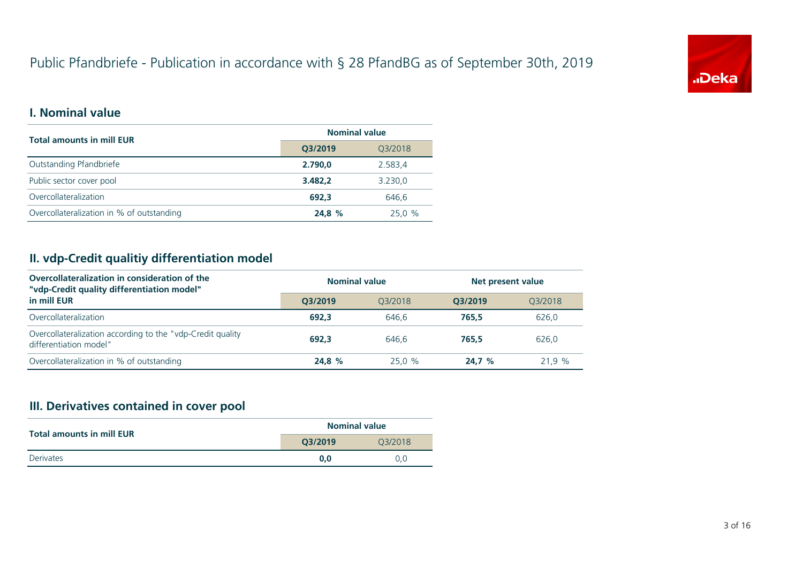# Public Pfandbriefe - Publication in accordance with § 28 PfandBG as of September 30th, 2019



#### **I. Nominal value**

| <b>Total amounts in mill EUR</b>          | <b>Nominal value</b> |         |  |
|-------------------------------------------|----------------------|---------|--|
|                                           | Q3/2019              | Q3/2018 |  |
| Outstanding Pfandbriefe                   | 2.790.0              | 2.583,4 |  |
| Public sector cover pool                  | 3.482.2              | 3.230,0 |  |
| Overcollateralization                     | 692.3                | 646.6   |  |
| Overcollateralization in % of outstanding | 24,8 %               | 25.0%   |  |

#### **II. vdp-Credit qualitiy differentiation model**

| Overcollateralization in consideration of the<br>"vdp-Credit quality differentiation model" | <b>Nominal value</b> |         | Net present value |         |  |
|---------------------------------------------------------------------------------------------|----------------------|---------|-------------------|---------|--|
| in mill EUR                                                                                 | O3/2019              | 03/2018 | O3/2019           | 03/2018 |  |
| Overcollateralization                                                                       | 692.3                | 646.6   | 765.5             | 626,0   |  |
| Overcollateralization according to the "vdp-Credit quality<br>differentiation model"        | 692.3                | 646.6   | 765.5             | 626.0   |  |
| Overcollateralization in % of outstanding                                                   | 24.8 %               | 25.0 %  | 24.7%             | 21.9%   |  |

## **III. Derivatives contained in cover pool**

| <b>Total amounts in mill EUR</b> | <b>Nominal value</b> |         |  |
|----------------------------------|----------------------|---------|--|
|                                  | Q3/2019              | 03/2018 |  |
| <b>Derivates</b>                 | 0.0                  | 0.0     |  |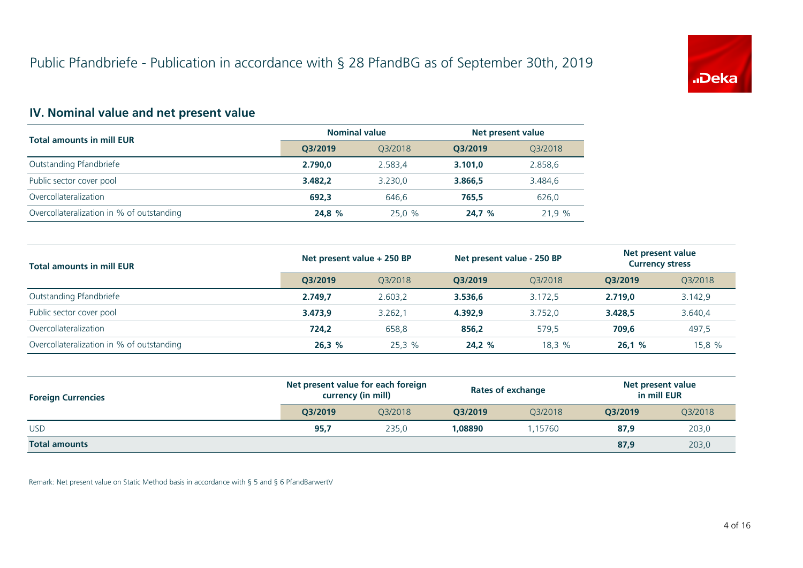

## **IV. Nominal value and net present value**

| <b>Total amounts in mill EUR</b>          | <b>Nominal value</b> |         | Net present value |         |
|-------------------------------------------|----------------------|---------|-------------------|---------|
|                                           | O3/2019              | 03/2018 | O3/2019           | Q3/2018 |
| Outstanding Pfandbriefe                   | 2.790.0              | 2.583.4 | 3.101.0           | 2.858,6 |
| Public sector cover pool                  | 3.482.2              | 3.230.0 | 3.866.5           | 3.484,6 |
| Overcollateralization                     | 692.3                | 646.6   | 765.5             | 626,0   |
| Overcollateralization in % of outstanding | 24.8 %               | 25.0 %  | 24.7%             | 21.9 %  |

| <b>Total amounts in mill EUR</b>          | Net present value + 250 BP |         | Net present value - 250 BP |         | Net present value<br><b>Currency stress</b> |         |
|-------------------------------------------|----------------------------|---------|----------------------------|---------|---------------------------------------------|---------|
|                                           | O3/2019                    | 03/2018 | O3/2019                    | 03/2018 | O3/2019                                     | Q3/2018 |
| Outstanding Pfandbriefe                   | 2.749.7                    | 2.603.2 | 3.536.6                    | 3.172.5 | 2.719.0                                     | 3.142,9 |
| Public sector cover pool                  | 3.473.9                    | 3.262.1 | 4.392.9                    | 3.752.0 | 3.428,5                                     | 3.640,4 |
| Overcollateralization                     | 724.2                      | 658,8   | 856.2                      | 579.5   | 709,6                                       | 497,5   |
| Overcollateralization in % of outstanding | 26,3%                      | 25.3%   | 24.2%                      | 18,3 %  | 26.1%                                       | 15,8 %  |

| <b>Foreign Currencies</b> | Net present value for each foreign<br>currency (in mill) |         | <b>Rates of exchange</b> |         | Net present value<br>in mill EUR |         |
|---------------------------|----------------------------------------------------------|---------|--------------------------|---------|----------------------------------|---------|
|                           | O3/2019                                                  | 03/2018 | O3/2019                  | 03/2018 | O3/2019                          | Q3/2018 |
| <b>USD</b>                | 95,7                                                     | 235,0   | 1.08890                  | .15760  | 87,9                             | 203,0   |
| <b>Total amounts</b>      |                                                          |         |                          |         | 87,9                             | 203,0   |

Remark: Net present value on Static Method basis in accordance with § 5 and § 6 PfandBarwertV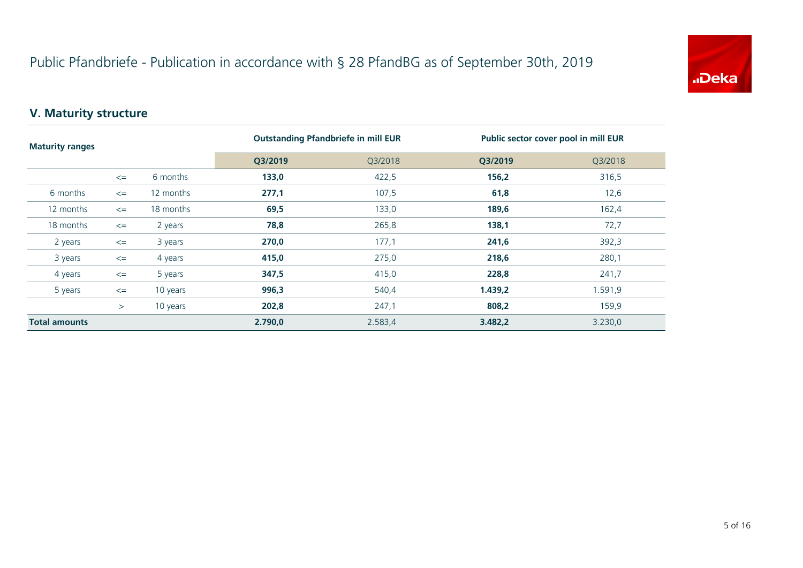

## **V. Maturity structure**

| <b>Maturity ranges</b> |        |           |         | <b>Outstanding Pfandbriefe in mill EUR</b> |         | Public sector cover pool in mill EUR |
|------------------------|--------|-----------|---------|--------------------------------------------|---------|--------------------------------------|
|                        |        |           | Q3/2019 | Q3/2018                                    | Q3/2019 | Q3/2018                              |
|                        | $\leq$ | 6 months  | 133,0   | 422,5                                      | 156,2   | 316,5                                |
| 6 months               | $\leq$ | 12 months | 277,1   | 107,5                                      | 61,8    | 12,6                                 |
| 12 months              | $\leq$ | 18 months | 69,5    | 133,0                                      | 189,6   | 162,4                                |
| 18 months              | $\leq$ | 2 years   | 78,8    | 265,8                                      | 138,1   | 72,7                                 |
| 2 years                | $\leq$ | 3 years   | 270,0   | 177,1                                      | 241,6   | 392,3                                |
| 3 years                | $\leq$ | 4 years   | 415,0   | 275,0                                      | 218,6   | 280,1                                |
| 4 years                | $\leq$ | 5 years   | 347,5   | 415,0                                      | 228,8   | 241,7                                |
| 5 years                | $\leq$ | 10 years  | 996,3   | 540,4                                      | 1.439,2 | 1.591,9                              |
|                        | >      | 10 years  | 202,8   | 247,1                                      | 808,2   | 159,9                                |
| <b>Total amounts</b>   |        |           | 2.790,0 | 2.583,4                                    | 3.482,2 | 3.230,0                              |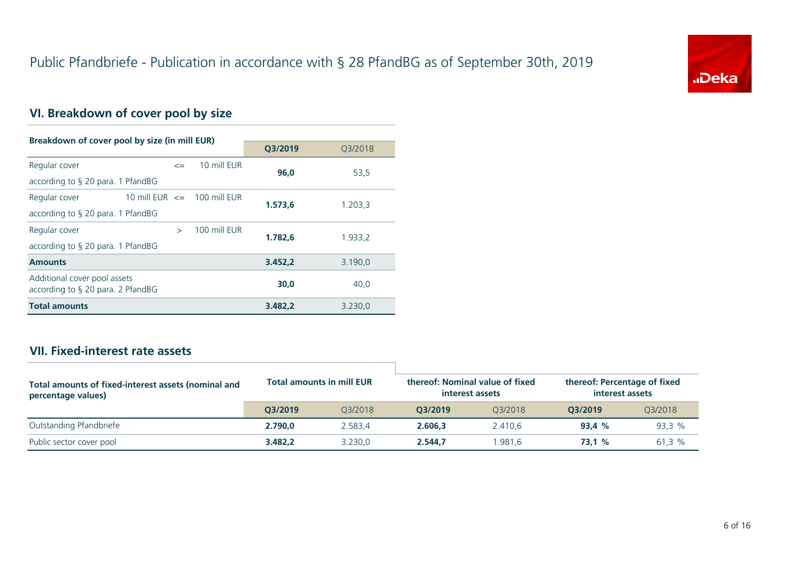

## **VI. Breakdown of cover pool by size**

| Breakdown of cover pool by size (in mill EUR)                        |                                 |              |         |         |
|----------------------------------------------------------------------|---------------------------------|--------------|---------|---------|
|                                                                      |                                 |              | Q3/2019 | Q3/2018 |
| Regular cover                                                        | $\leq$                          | 10 mill EUR  | 96.0    | 53,5    |
| according to $\S$ 20 para. 1 PfandBG                                 |                                 |              |         |         |
| Regular cover                                                        | 10 mill EUR $\leq$ 100 mill EUR |              | 1.573.6 | 1.203,3 |
| according to $\S$ 20 para. 1 PfandBG                                 |                                 |              |         |         |
| Regular cover                                                        | $\mathbf{r}$                    | 100 mill FUR | 1.782.6 | 1.933,2 |
| according to $\S$ 20 para. 1 PfandBG                                 |                                 |              |         |         |
| <b>Amounts</b>                                                       |                                 |              | 3.452.2 | 3.190,0 |
| Additional cover pool assets<br>according to $\S$ 20 para. 2 PfandBG |                                 |              | 30.0    | 40,0    |
| <b>Total amounts</b>                                                 |                                 |              | 3.482.2 | 3.230,0 |

#### **VII. Fixed-interest rate assets**

| Total amounts of fixed-interest assets (nominal and<br>percentage values) |         | <b>Total amounts in mill EUR</b> | thereof: Nominal value of fixed<br>interest assets |         | thereof: Percentage of fixed<br>interest assets |         |
|---------------------------------------------------------------------------|---------|----------------------------------|----------------------------------------------------|---------|-------------------------------------------------|---------|
|                                                                           | O3/2019 | 03/2018                          | O3/2019                                            | 03/2018 | O3/2019                                         | 03/2018 |
| Outstanding Pfandbriefe                                                   | 2.790.0 | 2.583.4                          | 2.606.3                                            | 2.410.6 | 93.4%                                           | 93,3%   |
| Public sector cover pool                                                  | 3.482.2 | 3.230.0                          | 2.544.7                                            | .981.6  | 73.1 %                                          | 61,3 %  |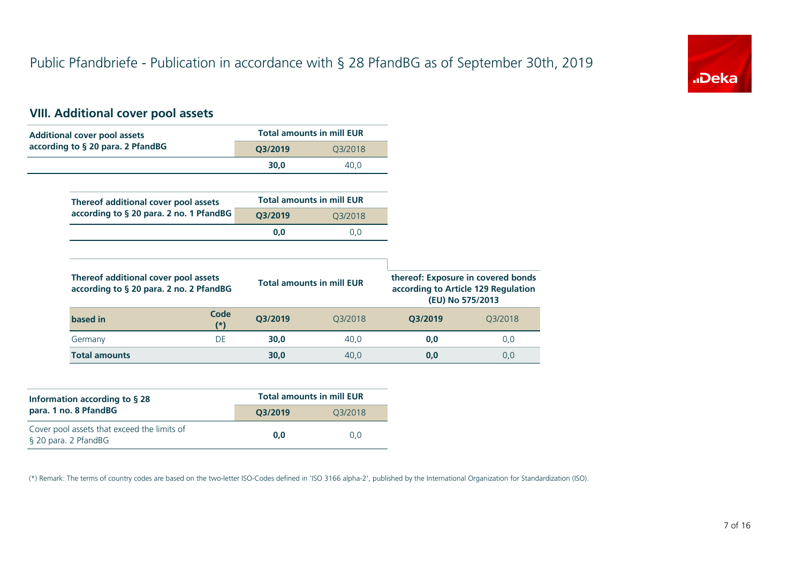

## **VIII. Additional cover pool assets**

| <b>Additional cover pool assets</b>                                             |                    | <b>Total amounts in mill EUR</b> |                                                                           |                  |
|---------------------------------------------------------------------------------|--------------------|----------------------------------|---------------------------------------------------------------------------|------------------|
| according to § 20 para. 2 PfandBG                                               | Q3/2019            | Q3/2018                          |                                                                           |                  |
|                                                                                 | 30,0               | 40,0                             |                                                                           |                  |
|                                                                                 |                    |                                  |                                                                           |                  |
| Thereof additional cover pool assets                                            |                    | <b>Total amounts in mill EUR</b> |                                                                           |                  |
| according to § 20 para. 2 no. 1 PfandBG                                         | Q3/2019<br>Q3/2018 |                                  |                                                                           |                  |
|                                                                                 | 0,0                | 0,0                              |                                                                           |                  |
|                                                                                 |                    |                                  |                                                                           |                  |
| Thereof additional cover pool assets<br>according to § 20 para. 2 no. 2 PfandBG |                    | <b>Total amounts in mill EUR</b> | thereof: Exposure in covered bonds<br>according to Article 129 Regulation | (EU) No 575/2013 |
| Code<br>based in<br>(*)                                                         | Q3/2019            | Q3/2018                          | Q3/2019                                                                   | Q3/2018          |
| <b>DE</b><br>Germany                                                            | 30,0               | 40,0                             | 0,0                                                                       | 0,0              |
| <b>Total amounts</b>                                                            | 30,0               | 40,0                             | 0,0                                                                       | 0,0              |

| Information according to $\S$ 28                                    | <b>Total amounts in mill EUR</b> |         |  |  |
|---------------------------------------------------------------------|----------------------------------|---------|--|--|
| para. 1 no. 8 PfandBG                                               | O3/2019                          | 03/2018 |  |  |
| Cover pool assets that exceed the limits of<br>§ 20 para. 2 PfandBG | 0.0                              | 0.0     |  |  |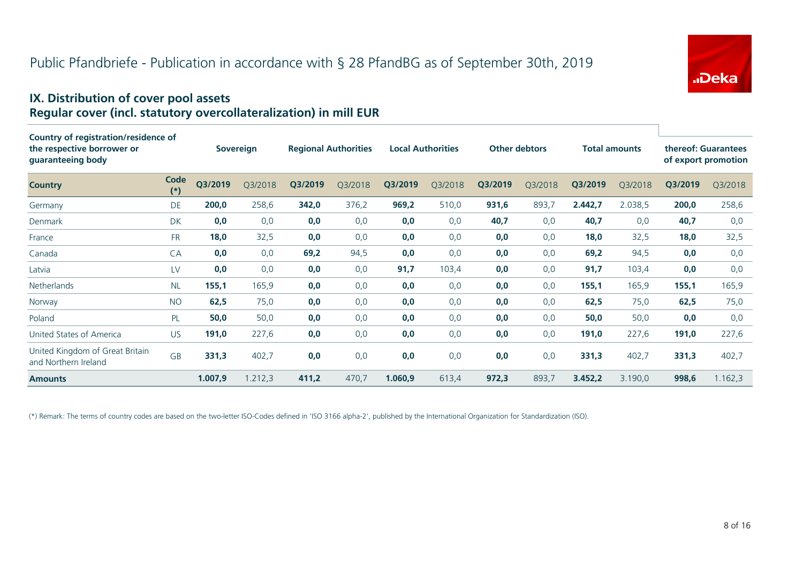

#### **IX. Distribution of cover pool assets Regular cover (incl. statutory overcollateralization) in mill EUR**

| Country of registration/residence of<br>the respective borrower or<br>guaranteeing body |               |         | <b>Sovereign</b> |         | <b>Regional Authorities</b> |         | <b>Local Authorities</b> |         | <b>Other debtors</b> |         | <b>Total amounts</b> |         | thereof: Guarantees<br>of export promotion |
|-----------------------------------------------------------------------------------------|---------------|---------|------------------|---------|-----------------------------|---------|--------------------------|---------|----------------------|---------|----------------------|---------|--------------------------------------------|
| <b>Country</b>                                                                          | Code<br>$(*)$ | Q3/2019 | Q3/2018          | Q3/2019 | Q3/2018                     | Q3/2019 | Q3/2018                  | Q3/2019 | Q3/2018              | Q3/2019 | Q3/2018              | Q3/2019 | Q3/2018                                    |
| Germany                                                                                 | DE            | 200,0   | 258,6            | 342,0   | 376,2                       | 969,2   | 510,0                    | 931,6   | 893,7                | 2.442,7 | 2.038,5              | 200,0   | 258,6                                      |
| Denmark                                                                                 | <b>DK</b>     | 0,0     | 0,0              | 0,0     | 0,0                         | 0,0     | 0,0                      | 40,7    | 0,0                  | 40,7    | 0,0                  | 40,7    | 0,0                                        |
| France                                                                                  | <b>FR</b>     | 18,0    | 32,5             | 0,0     | 0,0                         | 0,0     | 0,0                      | 0,0     | 0,0                  | 18,0    | 32,5                 | 18,0    | 32,5                                       |
| Canada                                                                                  | CA            | 0,0     | 0,0              | 69,2    | 94,5                        | 0,0     | 0,0                      | 0,0     | 0,0                  | 69,2    | 94,5                 | 0,0     | 0,0                                        |
| Latvia                                                                                  | LV            | 0,0     | 0,0              | 0,0     | 0,0                         | 91,7    | 103,4                    | 0,0     | 0,0                  | 91,7    | 103,4                | 0,0     | 0,0                                        |
| <b>Netherlands</b>                                                                      | <b>NL</b>     | 155,1   | 165,9            | 0,0     | 0,0                         | 0,0     | 0,0                      | 0,0     | 0,0                  | 155,1   | 165,9                | 155,1   | 165,9                                      |
| Norway                                                                                  | <b>NO</b>     | 62,5    | 75,0             | 0,0     | 0,0                         | 0,0     | 0,0                      | 0,0     | 0,0                  | 62,5    | 75,0                 | 62,5    | 75,0                                       |
| Poland                                                                                  | <b>PL</b>     | 50,0    | 50,0             | 0,0     | 0,0                         | 0,0     | 0,0                      | 0,0     | 0,0                  | 50,0    | 50,0                 | 0,0     | 0,0                                        |
| United States of America                                                                | <b>US</b>     | 191,0   | 227,6            | 0,0     | 0,0                         | 0,0     | 0,0                      | 0,0     | 0,0                  | 191,0   | 227,6                | 191,0   | 227,6                                      |
| United Kingdom of Great Britain<br>and Northern Ireland                                 | <b>GB</b>     | 331,3   | 402,7            | 0,0     | 0,0                         | 0,0     | 0,0                      | 0,0     | 0,0                  | 331,3   | 402,7                | 331,3   | 402,7                                      |
| <b>Amounts</b>                                                                          |               | 1.007,9 | 1.212,3          | 411,2   | 470,7                       | 1.060,9 | 613,4                    | 972,3   | 893,7                | 3.452,2 | 3.190,0              | 998,6   | 1.162,3                                    |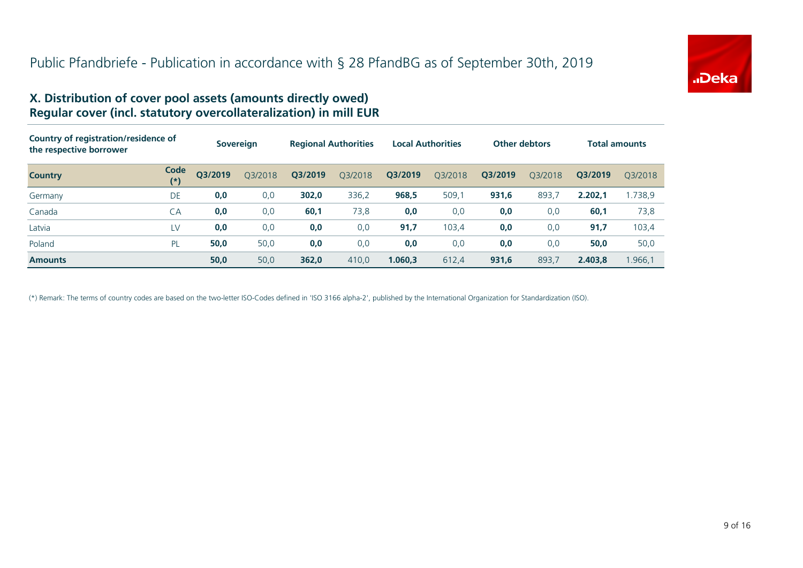

#### **X. Distribution of cover pool assets (amounts directly owed) Regular cover (incl. statutory overcollateralization) in mill EUR**

| Country of registration/residence of<br>the respective borrower |                  | <b>Sovereign</b> |         | <b>Regional Authorities</b> |         | <b>Local Authorities</b> |         | <b>Other debtors</b> |         | <b>Total amounts</b> |         |
|-----------------------------------------------------------------|------------------|------------------|---------|-----------------------------|---------|--------------------------|---------|----------------------|---------|----------------------|---------|
| <b>Country</b>                                                  | Code<br>$^{(*)}$ | Q3/2019          | Q3/2018 | Q3/2019                     | Q3/2018 | Q3/2019                  | Q3/2018 | Q3/2019              | 03/2018 | O3/2019              | 03/2018 |
| Germany                                                         | DE               | 0,0              | 0,0     | 302,0                       | 336,2   | 968,5                    | 509,1   | 931,6                | 893.7   | 2.202,1              | 1.738,9 |
| Canada                                                          | CA               | 0,0              | 0,0     | 60,1                        | 73,8    | 0,0                      | 0,0     | 0,0                  | 0,0     | 60,1                 | 73,8    |
| Latvia                                                          | LV               | 0,0              | 0,0     | 0,0                         | 0,0     | 91,7                     | 103,4   | 0,0                  | 0,0     | 91,7                 | 103,4   |
| Poland                                                          | <b>PL</b>        | 50,0             | 50,0    | 0,0                         | 0,0     | 0,0                      | 0,0     | 0,0                  | 0,0     | 50,0                 | 50,0    |
| <b>Amounts</b>                                                  |                  | 50,0             | 50,0    | 362,0                       | 410,0   | 1.060.3                  | 612,4   | 931,6                | 893.7   | 2.403,8              | .966,1  |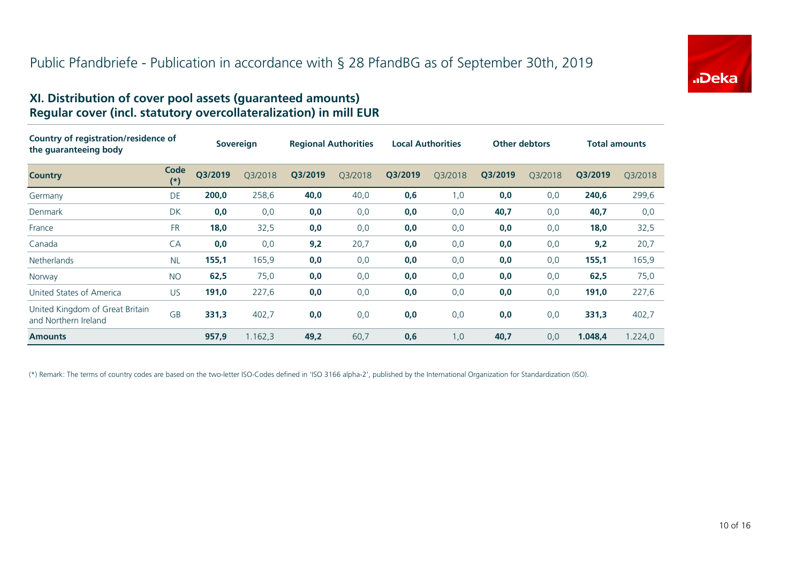

#### **XI. Distribution of cover pool assets (guaranteed amounts) Regular cover (incl. statutory overcollateralization) in mill EUR**

| Country of registration/residence of<br>the guaranteeing body |               | <b>Sovereign</b> |         | <b>Regional Authorities</b> |         | <b>Local Authorities</b> |         | <b>Other debtors</b> |         | <b>Total amounts</b> |         |
|---------------------------------------------------------------|---------------|------------------|---------|-----------------------------|---------|--------------------------|---------|----------------------|---------|----------------------|---------|
| <b>Country</b>                                                | Code<br>$(*)$ | Q3/2019          | Q3/2018 | Q3/2019                     | Q3/2018 | Q3/2019                  | Q3/2018 | Q3/2019              | Q3/2018 | Q3/2019              | Q3/2018 |
| Germany                                                       | DE            | 200,0            | 258,6   | 40,0                        | 40,0    | 0,6                      | 1,0     | 0,0                  | 0,0     | 240,6                | 299,6   |
| Denmark                                                       | DK            | 0,0              | 0,0     | 0,0                         | 0,0     | 0,0                      | 0,0     | 40,7                 | 0,0     | 40,7                 | 0,0     |
| France                                                        | <b>FR</b>     | 18,0             | 32,5    | 0,0                         | 0,0     | 0,0                      | 0,0     | 0,0                  | 0,0     | 18,0                 | 32,5    |
| Canada                                                        | CA            | 0,0              | 0,0     | 9,2                         | 20,7    | 0,0                      | 0,0     | 0,0                  | 0,0     | 9,2                  | 20,7    |
| <b>Netherlands</b>                                            | <b>NL</b>     | 155,1            | 165,9   | 0,0                         | 0,0     | 0,0                      | 0,0     | 0,0                  | 0,0     | 155,1                | 165,9   |
| Norway                                                        | <b>NO</b>     | 62,5             | 75,0    | 0,0                         | 0,0     | 0,0                      | 0,0     | 0,0                  | 0,0     | 62,5                 | 75,0    |
| United States of America                                      | <b>US</b>     | 191,0            | 227,6   | 0,0                         | 0,0     | 0,0                      | 0,0     | 0,0                  | 0,0     | 191,0                | 227,6   |
| United Kingdom of Great Britain<br>and Northern Ireland       | <b>GB</b>     | 331,3            | 402,7   | 0,0                         | 0,0     | 0,0                      | 0,0     | 0,0                  | 0,0     | 331,3                | 402,7   |
| <b>Amounts</b>                                                |               | 957,9            | 1.162,3 | 49,2                        | 60,7    | 0,6                      | 1,0     | 40,7                 | 0,0     | 1.048,4              | 1.224,0 |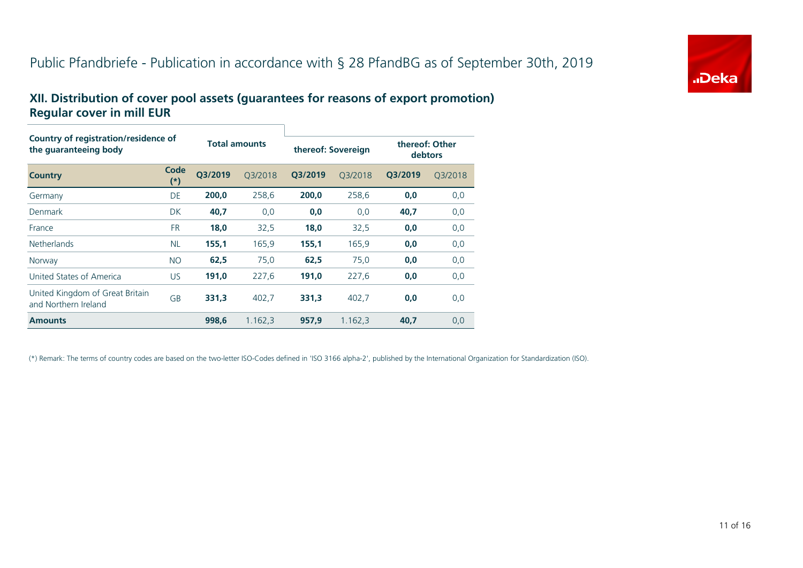# Public Pfandbriefe - Publication in accordance with § 28 PfandBG as of September 30th, 2019



#### **XII. Distribution of cover pool assets (guarantees for reasons of export promotion) Regular cover in mill EUR**

| Country of registration/residence of<br>the quaranteeing body |                   | <b>Total amounts</b> |         | thereof: Sovereign |         | thereof: Other<br>debtors |         |  |
|---------------------------------------------------------------|-------------------|----------------------|---------|--------------------|---------|---------------------------|---------|--|
| <b>Country</b>                                                | Code<br>$^{\ast}$ | Q3/2019              | O3/2018 | Q3/2019            | 03/2018 | Q3/2019                   | 03/2018 |  |
| Germany                                                       | DE                | 200.0                | 258,6   | 200.0              | 258,6   | 0,0                       | 0,0     |  |
| Denmark                                                       | DK                | 40,7                 | 0,0     | 0,0                | 0,0     | 40,7                      | 0,0     |  |
| France                                                        | <b>FR</b>         | 18,0                 | 32,5    | 18,0               | 32,5    | 0,0                       | 0,0     |  |
| <b>Netherlands</b>                                            | <b>NL</b>         | 155,1                | 165,9   | 155,1              | 165,9   | 0,0                       | 0,0     |  |
| Norway                                                        | <b>NO</b>         | 62,5                 | 75,0    | 62,5               | 75,0    | 0,0                       | 0,0     |  |
| United States of America                                      | <b>US</b>         | 191,0                | 227,6   | 191,0              | 227,6   | 0,0                       | 0,0     |  |
| United Kingdom of Great Britain<br>and Northern Ireland       | <b>GB</b>         | 331,3                | 402,7   | 331,3              | 402,7   | 0,0                       | 0,0     |  |
| <b>Amounts</b>                                                |                   | 998.6                | 1.162.3 | 957.9              | 1.162.3 | 40.7                      | 0,0     |  |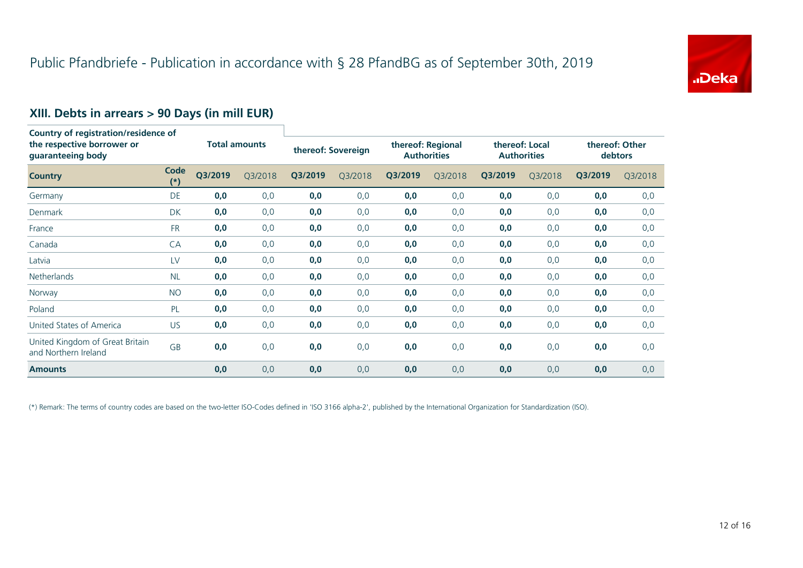

# **XIII. Debts in arrears > 90 Days (in mill EUR)**

| Country of registration/residence of<br>the respective borrower or<br>guaranteeing body |               |                      |         |         |                    |         |                                         |         |                                      |         |                                  |
|-----------------------------------------------------------------------------------------|---------------|----------------------|---------|---------|--------------------|---------|-----------------------------------------|---------|--------------------------------------|---------|----------------------------------|
|                                                                                         |               | <b>Total amounts</b> |         |         | thereof: Sovereign |         | thereof: Regional<br><b>Authorities</b> |         | thereof: Local<br><b>Authorities</b> |         | thereof: Other<br><b>debtors</b> |
| <b>Country</b>                                                                          | Code<br>$(*)$ | Q3/2019              | Q3/2018 | Q3/2019 | Q3/2018            | Q3/2019 | Q3/2018                                 | Q3/2019 | Q3/2018                              | Q3/2019 | Q3/2018                          |
| Germany                                                                                 | DE            | 0,0                  | 0,0     | 0,0     | 0,0                | 0,0     | 0,0                                     | 0,0     | 0,0                                  | 0,0     | 0,0                              |
| Denmark                                                                                 | <b>DK</b>     | 0,0                  | 0,0     | 0,0     | 0,0                | 0,0     | 0,0                                     | 0,0     | 0,0                                  | 0,0     | 0,0                              |
| France                                                                                  | <b>FR</b>     | 0,0                  | 0,0     | 0,0     | 0,0                | 0,0     | 0,0                                     | 0,0     | 0,0                                  | 0,0     | 0,0                              |
| Canada                                                                                  | CA            | 0,0                  | 0,0     | 0,0     | 0,0                | 0,0     | 0,0                                     | 0,0     | 0,0                                  | 0,0     | 0,0                              |
| Latvia                                                                                  | LV            | 0,0                  | 0,0     | 0,0     | 0,0                | 0,0     | 0,0                                     | 0,0     | 0,0                                  | 0,0     | 0,0                              |
| Netherlands                                                                             | <b>NL</b>     | 0,0                  | 0,0     | 0,0     | 0,0                | 0,0     | 0,0                                     | 0,0     | 0,0                                  | 0,0     | 0,0                              |
| Norway                                                                                  | <b>NO</b>     | 0,0                  | 0,0     | 0,0     | 0,0                | 0,0     | 0,0                                     | 0,0     | 0,0                                  | 0,0     | 0,0                              |
| Poland                                                                                  | PL            | 0,0                  | 0,0     | 0,0     | 0,0                | 0,0     | 0,0                                     | 0,0     | 0,0                                  | 0,0     | 0,0                              |
| United States of America                                                                | US.           | 0,0                  | 0,0     | 0,0     | 0,0                | 0,0     | 0,0                                     | 0,0     | 0,0                                  | 0,0     | 0,0                              |
| United Kingdom of Great Britain<br>and Northern Ireland                                 | GB            | 0,0                  | 0,0     | 0,0     | 0,0                | 0,0     | 0,0                                     | 0,0     | 0,0                                  | 0,0     | 0,0                              |
| <b>Amounts</b>                                                                          |               | 0,0                  | 0,0     | 0,0     | 0,0                | 0,0     | 0,0                                     | 0,0     | 0,0                                  | 0,0     | 0,0                              |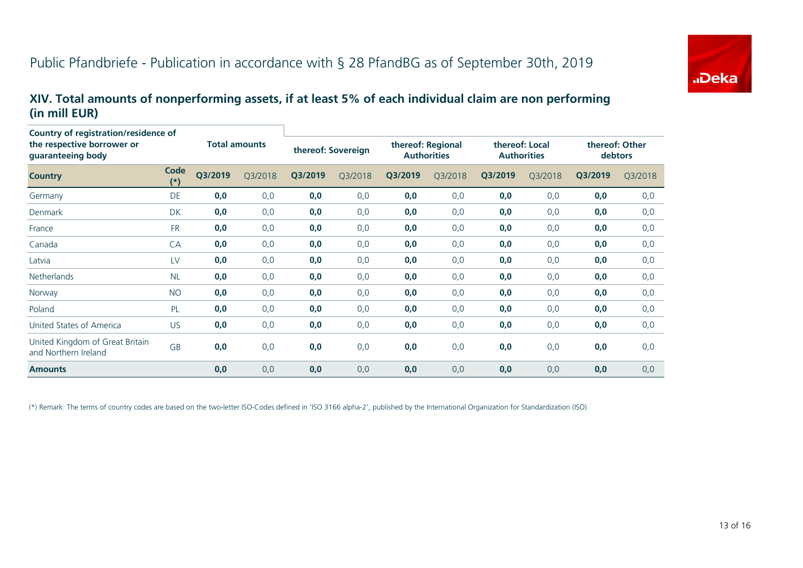

#### **XIV. Total amounts of nonperforming assets, if at least 5% of each individual claim are non performing (in mill EUR)**

| Country of registration/residence of<br>the respective borrower or<br>guaranteeing body |               | <b>Total amounts</b> |         | thereof: Sovereign |         | thereof: Regional<br><b>Authorities</b> |         | thereof: Local<br><b>Authorities</b> |         | thereof: Other<br>debtors |         |
|-----------------------------------------------------------------------------------------|---------------|----------------------|---------|--------------------|---------|-----------------------------------------|---------|--------------------------------------|---------|---------------------------|---------|
| <b>Country</b>                                                                          | Code<br>$(*)$ | Q3/2019              | Q3/2018 | Q3/2019            | Q3/2018 | Q3/2019                                 | Q3/2018 | Q3/2019                              | Q3/2018 | Q3/2019                   | Q3/2018 |
| Germany                                                                                 | <b>DE</b>     | 0,0                  | 0,0     | 0,0                | 0,0     | 0,0                                     | 0,0     | 0,0                                  | 0,0     | 0,0                       | 0,0     |
| Denmark                                                                                 | <b>DK</b>     | 0,0                  | 0,0     | 0,0                | 0,0     | 0,0                                     | 0,0     | 0,0                                  | 0,0     | 0,0                       | 0,0     |
| France                                                                                  | <b>FR</b>     | 0,0                  | 0,0     | 0,0                | 0,0     | 0,0                                     | 0,0     | 0,0                                  | 0,0     | 0,0                       | 0,0     |
| Canada                                                                                  | CA            | 0,0                  | 0,0     | 0,0                | 0,0     | 0,0                                     | 0,0     | 0,0                                  | 0,0     | 0,0                       | 0,0     |
| Latvia                                                                                  | LV            | 0,0                  | 0,0     | 0,0                | 0,0     | 0,0                                     | 0,0     | 0,0                                  | 0,0     | 0,0                       | 0,0     |
| <b>Netherlands</b>                                                                      | <b>NL</b>     | 0,0                  | 0,0     | 0,0                | 0,0     | 0,0                                     | 0,0     | 0,0                                  | 0,0     | 0,0                       | 0,0     |
| Norway                                                                                  | <b>NO</b>     | 0,0                  | 0,0     | 0,0                | 0,0     | 0,0                                     | 0,0     | 0,0                                  | 0,0     | 0,0                       | 0,0     |
| Poland                                                                                  | PL            | 0,0                  | 0,0     | 0,0                | 0,0     | 0,0                                     | 0, 0    | 0,0                                  | 0,0     | 0,0                       | 0,0     |
| United States of America                                                                | US            | 0,0                  | 0,0     | 0,0                | 0,0     | 0,0                                     | 0,0     | 0,0                                  | 0,0     | 0,0                       | 0,0     |
| United Kingdom of Great Britain<br>and Northern Ireland                                 | GB            | 0,0                  | 0,0     | 0,0                | 0,0     | 0,0                                     | 0,0     | 0,0                                  | 0,0     | 0,0                       | 0,0     |
| <b>Amounts</b>                                                                          |               | 0,0                  | 0,0     | 0,0                | 0,0     | 0,0                                     | 0,0     | 0,0                                  | 0,0     | 0,0                       | 0,0     |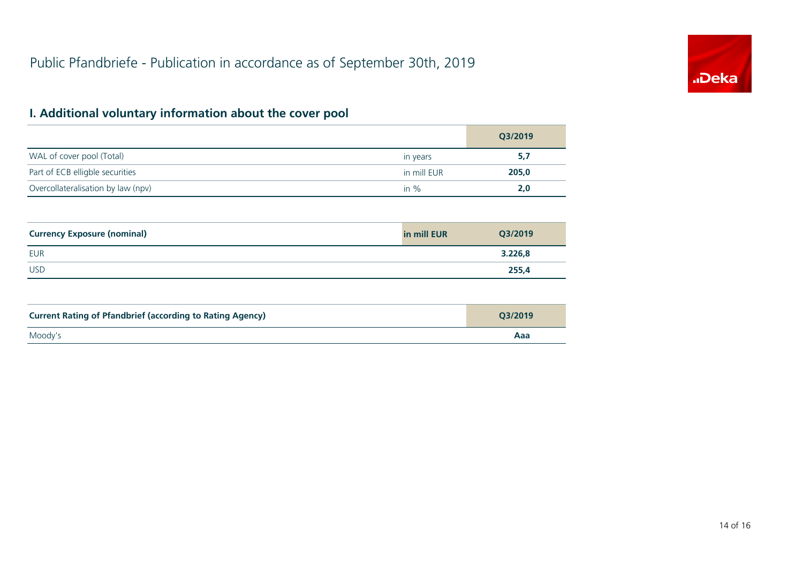

# **I. Additional voluntary information about the cover pool**

|                                    |             | Q3/2019 |
|------------------------------------|-------------|---------|
| WAL of cover pool (Total)          | in years    | 5,7     |
| Part of ECB elligble securities    | in mill EUR | 205,0   |
| Overcollateralisation by law (npv) | in $%$      | 2,0     |

| <b>Currency Exposure (nominal)</b> | in mill EUR | Q3/2019 |
|------------------------------------|-------------|---------|
| <b>EUR</b>                         |             | 3.226,8 |
| <b>USD</b>                         |             | 255,4   |

| <b>Current Rating of Pfandbrief (according to Rating Agency)</b> | O3/2019 |
|------------------------------------------------------------------|---------|
| Moody's                                                          | Aaa     |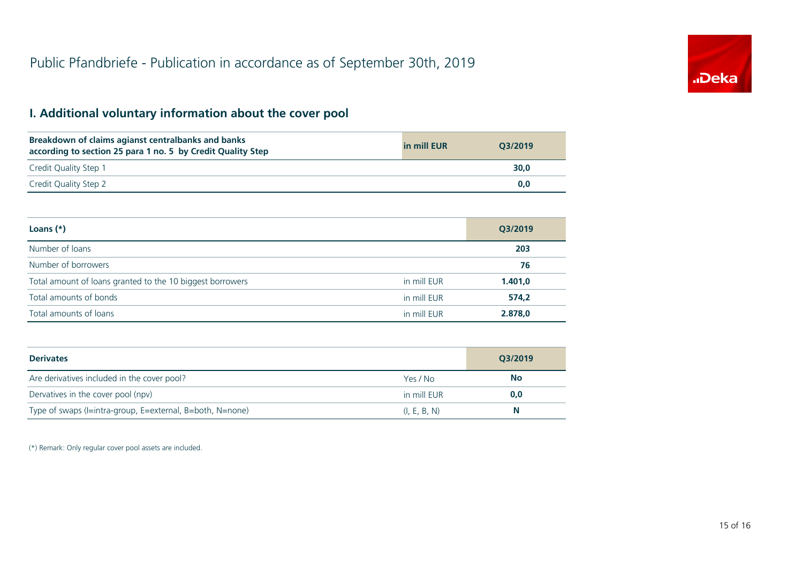

## **I. Additional voluntary information about the cover pool**

| Breakdown of claims agianst centralbanks and banks<br>according to section 25 para 1 no. 5 by Credit Quality Step | in mill EUR | O3/2019 |
|-------------------------------------------------------------------------------------------------------------------|-------------|---------|
| Credit Quality Step 1                                                                                             |             | 30,0    |
| Credit Quality Step 2                                                                                             |             | 0.0     |

| Loans $(*)$                                               |             | Q3/2019 |
|-----------------------------------------------------------|-------------|---------|
| Number of loans                                           |             | 203     |
| Number of borrowers                                       |             | 76      |
| Total amount of loans granted to the 10 biggest borrowers | in mill EUR | 1.401,0 |
| Total amounts of bonds                                    | in mill EUR | 574,2   |
| Total amounts of loans                                    | in mill EUR | 2.878,0 |

| <b>Derivates</b>                                          |              | Q3/2019   |
|-----------------------------------------------------------|--------------|-----------|
| Are derivatives included in the cover pool?               | Yes / No     | <b>No</b> |
| Dervatives in the cover pool (npv)                        | in mill EUR  | 0,0       |
| Type of swaps (I=intra-group, E=external, B=both, N=none) | (I, E, B, N) | N         |

(\*) Remark: Only regular cover pool assets are included.